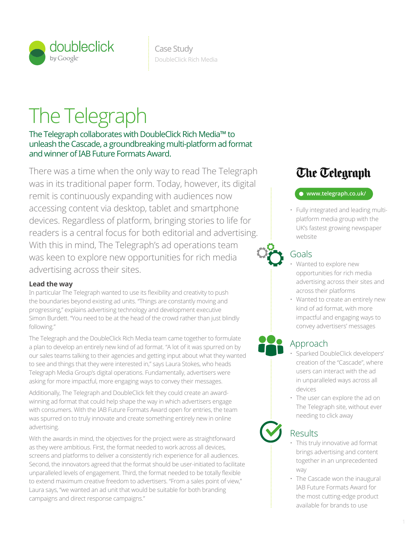

# The Telegraph

The Telegraph collaborates with DoubleClick Rich Media™ to unleash the Cascade, a groundbreaking multi-platform ad format and winner of IAB Future Formats Award.

transparency audience data shopping audience control search cross channel advertising across their sites. Their sites optimization of the sites of the sites of the sites of the sites of the sites. With this in mind, The Telegraph's ad operations team  $\bullet$ There was a time when the only way to read The Telegraph was in its traditional paper form. Today, however, its digital remit is continuously expanding with audiences now accessing content via desktop, tablet and smartphone devices. Regardless of platform, bringing stories to life for readers is a central focus for both editorial and advertising. was keen to explore new opportunities for rich media

#### **Lead the way**

In particular The Telegraph wanted to use its flexibility and creativity to push the boundaries beyond existing ad units. "Things are constantly moving and progressing," explains advertising technology and development executive Simon Burdett. "You need to be at the head of the crowd rather than just blindly following."

The Telegraph and the DoubleClick Rich Media team came together to formulate a plan to develop an entirely new kind of ad format. "A lot of it was spurred on by our sales teams talking to their agencies and getting input about what they wanted to see and things that they were interested in," says Laura Stokes, who heads Telegraph Media Group's digital operations. Fundamentally, advertisers were asking for more impactful, more engaging ways to convey their messages. The control of the control of the cross all

Additionally, The Telegraph and DoubleClick felt they could create an awardwinning ad format that could help shape the way in which advertisers engage with consumers. With the IAB Future Formats Award open for entries, the team was spurred on to truly innovate and create something entirely new in online advertising.

With the awards in mind, the objectives for the project were as straightforward as they were ambitious. First, the format needed to work across all devices, screens and platforms to deliver a consistently rich experience for all audiences. Second, the innovators agreed that the format should be user-initiated to facilitate unparalleled levels of engagement. Third, the format needed to be totally flexible to extend maximum creative freedom to advertisers. "From a sales point of view," Laura says, "we wanted an ad unit that would be suitable for both branding campaigns and direct response campaigns."

## **Che Celegraph**

#### **www.telegraph.co.uk/**

• Fully integrated and leading multi- $\frac{1}{2}$  platform media group with the UK's fastest growing newspaper website

## Goals

- Wanted to explore new opportunities for rich media advertising across their sites and  $\vdots$  across their platforms
- Wanted to create an entirely new kind of ad format, with more impactful and engaging ways to convey advertisers' messages analytics (site analytics) dynamic creative function  $\mathcal{S}$

## Approach

- Sparked DoubleClick developers'  $\ddot{t}$  creation of the "Cascade", where users can interact with the ad in unparalleled ways across all devices
	- The user can explore the ad on The Telegraph site, without ever needing to click away

## Results

attribution

- This truly innovative ad format brings advertising and content together in an unprecedented way work flow efficiency reporting and analytics optimization and analytics optimization  $\mathcal{F}$ 
	- The Cascade won the inaugural IAB Future Formats Award for the most cutting-edge product available for brands to use